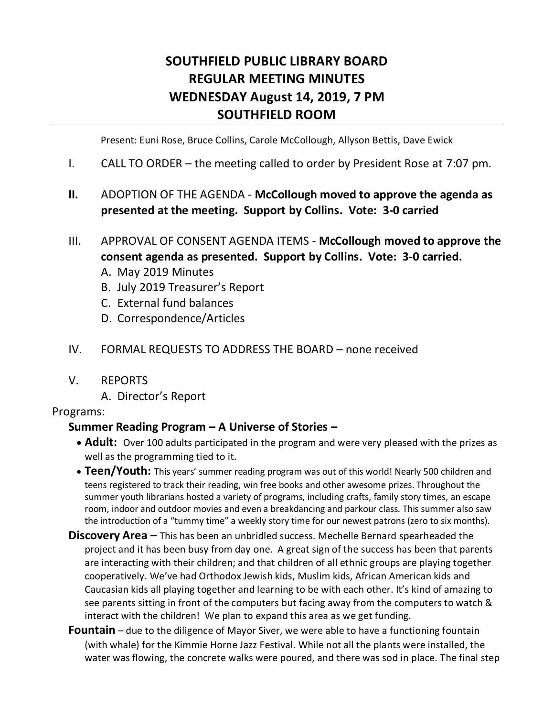# **SOUTHFIELD PUBLIC LIBRARY BOARD REGULAR MEETING MINUTES WEDNESDAY August 14, 2019, 7 PM SOUTHFIELD ROOM**

Present: Euni Rose, Bruce Collins, Carole McCollough, Allyson Bettis, Dave Ewick

- I. CALL TO ORDER the meeting called to order by President Rose at 7:07 pm.
- **II.** ADOPTION OF THE AGENDA **McCollough moved to approve the agenda as presented at the meeting. Support by Collins. Vote: 3-0 carried**
- III. APPROVAL OF CONSENT AGENDA ITEMS **McCollough moved to approve the consent agenda as presented. Support by Collins. Vote: 3-0 carried.**
	- A. May 2019 Minutes
	- B. July 2019 Treasurer's Report
	- C. External fund balances
	- D. Correspondence/Articles
- IV. FORMAL REQUESTS TO ADDRESS THE BOARD none received
- V. REPORTS
	- A. Director's Report

#### Programs:

#### **Summer Reading Program – A Universe of Stories –**

- **Adult:** Over 100 adults participated in the program and were very pleased with the prizes as well as the programming tied to it.
- **Teen/Youth:** This years' summer reading program was out of this world! Nearly 500 children and teens registered to track their reading, win free books and other awesome prizes. Throughout the summer youth librarians hosted a variety of programs, including crafts, family story times, an escape room, indoor and outdoor movies and even a breakdancing and parkour class. This summer also saw the introduction of a "tummy time" a weekly story time for our newest patrons (zero to six months).
- **Discovery Area –** This has been an unbridled success. Mechelle Bernard spearheaded the project and it has been busy from day one. A great sign of the success has been that parents are interacting with their children; and that children of all ethnic groups are playing together cooperatively. We've had Orthodox Jewish kids, Muslim kids, African American kids and Caucasian kids all playing together and learning to be with each other. It's kind of amazing to see parents sitting in front of the computers but facing away from the computers to watch & interact with the children! We plan to expand this area as we get funding.
- **Fountain** due to the diligence of Mayor Siver, we were able to have a functioning fountain (with whale) for the Kimmie Horne Jazz Festival. While not all the plants were installed, the water was flowing, the concrete walks were poured, and there was sod in place. The final step